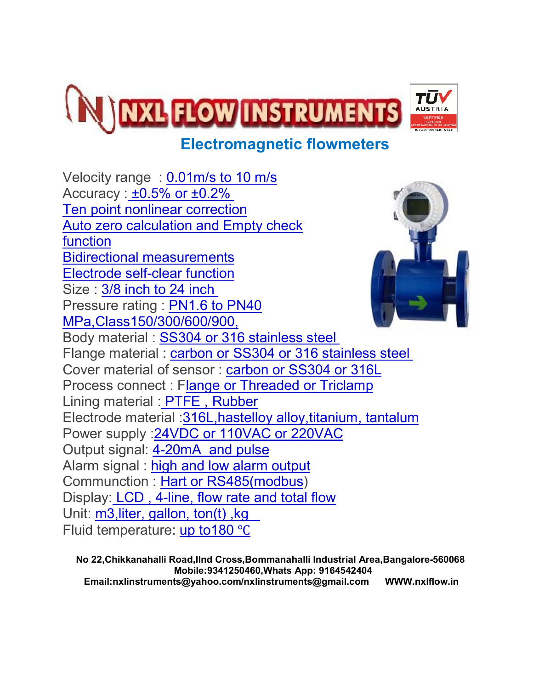

## **Electromagnetic flowmeters**

Velocity range : 0.01m/s to 10 m/s Accuracy :  $\pm 0.5\%$  or  $\pm 0.2\%$ Ten point nonlinear correction Auto zero calculation and Empty check function Bidirectional measurements Electrode self-clear function Size : 3/8 inch to 24 inch Pressure rating : PN1.6 to PN40 MPa,Class150/300/600/900, Body material : SS304 or 316 stainless steel Flange material : carbon or SS304 or 316 stainless steel Cover material of sensor : carbon or SS304 or 316L Process connect : Flange or Threaded or Triclamp Lining material : PTFE , Rubber Electrode material :316L,hastelloy alloy,titanium, tantalum Power supply : 24VDC or 110VAC or 220VAC Output signal: 4-20mA and pulse Alarm signal : high and low alarm output Communction : Hart or RS485(modbus) Display: LCD , 4-line, flow rate and total flow Unit: m3, liter, gallon, ton(t), kg Fluid temperature: up to180 ℃

 **No 22,Chikkanahalli Road,IInd Cross,Bommanahalli Industrial Area,Bangalore-560068 Mobile:9341250460,Whats App: 9164542404 Email:nxlinstruments@yahoo.com/nxlinstruments@gmail.com WWW.nxlflow.in**